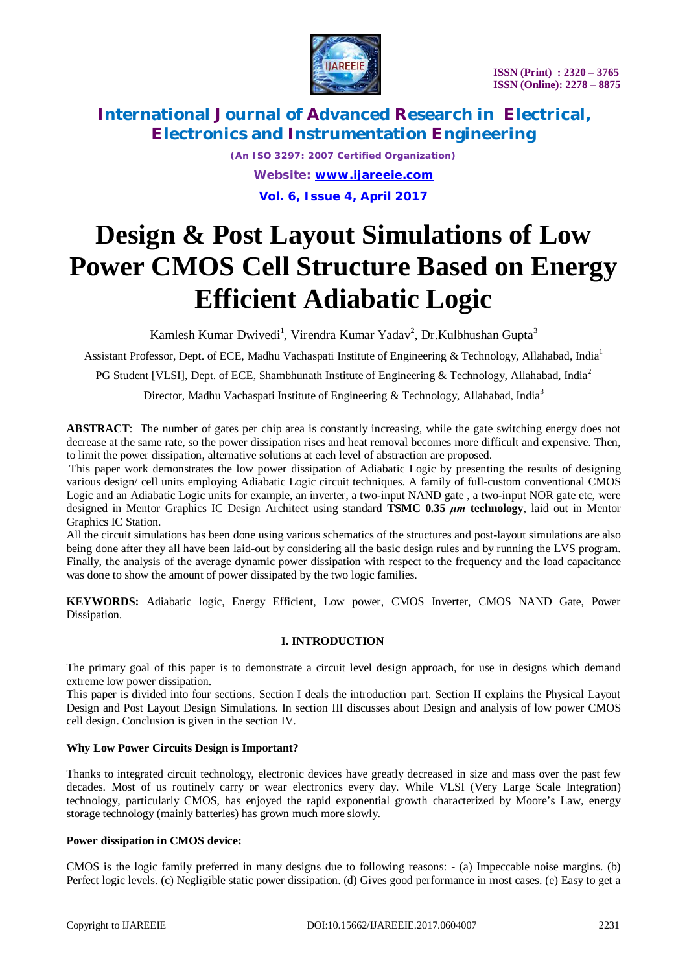

> *(An ISO 3297: 2007 Certified Organization) Website: [www.ijareeie.com](http://www.ijareeie.com)* **Vol. 6, Issue 4, April 2017**

# **Design & Post Layout Simulations of Low Power CMOS Cell Structure Based on Energy Efficient Adiabatic Logic**

Kamlesh Kumar Dwivedi<sup>1</sup>, Virendra Kumar Yadav<sup>2</sup>, Dr.Kulbhushan Gupta<sup>3</sup>

Assistant Professor, Dept. of ECE, Madhu Vachaspati Institute of Engineering & Technology, Allahabad, India<sup>1</sup>

PG Student [VLSI], Dept. of ECE, Shambhunath Institute of Engineering & Technology, Allahabad, India<sup>2</sup>

Director, Madhu Vachaspati Institute of Engineering & Technology, Allahabad, India<sup>3</sup>

**ABSTRACT**: The number of gates per chip area is constantly increasing, while the gate switching energy does not decrease at the same rate, so the power dissipation rises and heat removal becomes more difficult and expensive. Then, to limit the power dissipation, alternative solutions at each level of abstraction are proposed.

This paper work demonstrates the low power dissipation of Adiabatic Logic by presenting the results of designing various design/ cell units employing Adiabatic Logic circuit techniques. A family of full-custom conventional CMOS Logic and an Adiabatic Logic units for example, an inverter, a two-input NAND gate , a two-input NOR gate etc, were designed in Mentor Graphics IC Design Architect using standard **TSMC 0.35** *μm* **technology**, laid out in Mentor Graphics IC Station.

All the circuit simulations has been done using various schematics of the structures and post-layout simulations are also being done after they all have been laid-out by considering all the basic design rules and by running the LVS program. Finally, the analysis of the average dynamic power dissipation with respect to the frequency and the load capacitance was done to show the amount of power dissipated by the two logic families.

**KEYWORDS:** Adiabatic logic, Energy Efficient, Low power, CMOS Inverter, CMOS NAND Gate, Power Dissipation.

### **I. INTRODUCTION**

The primary goal of this paper is to demonstrate a circuit level design approach, for use in designs which demand extreme low power dissipation.

This paper is divided into four sections. Section I deals the introduction part. Section II explains the Physical Layout Design and Post Layout Design Simulations. In section III discusses about Design and analysis of low power CMOS cell design. Conclusion is given in the section IV.

#### **Why Low Power Circuits Design is Important?**

Thanks to integrated circuit technology, electronic devices have greatly decreased in size and mass over the past few decades. Most of us routinely carry or wear electronics every day. While VLSI (Very Large Scale Integration) technology, particularly CMOS, has enjoyed the rapid exponential growth characterized by Moore's Law, energy storage technology (mainly batteries) has grown much more slowly.

#### **Power dissipation in CMOS device:**

CMOS is the logic family preferred in many designs due to following reasons: - (a) Impeccable noise margins. (b) Perfect logic levels. (c) Negligible static power dissipation. (d) Gives good performance in most cases. (e) Easy to get a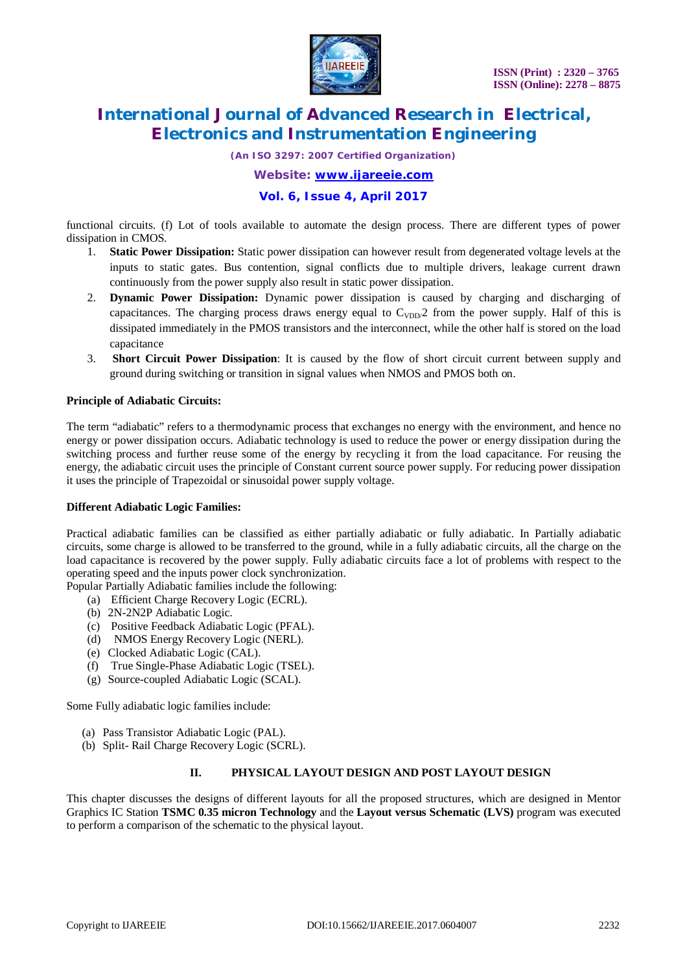

*(An ISO 3297: 2007 Certified Organization)*

*Website: [www.ijareeie.com](http://www.ijareeie.com)*

### **Vol. 6, Issue 4, April 2017**

functional circuits. (f) Lot of tools available to automate the design process. There are different types of power dissipation in CMOS.

- 1. **Static Power Dissipation:** Static power dissipation can however result from degenerated voltage levels at the inputs to static gates. Bus contention, signal conflicts due to multiple drivers, leakage current drawn continuously from the power supply also result in static power dissipation.
- 2. **Dynamic Power Dissipation:** Dynamic power dissipation is caused by charging and discharging of capacitances. The charging process draws energy equal to  $C_{VDD}/2$  from the power supply. Half of this is dissipated immediately in the PMOS transistors and the interconnect, while the other half is stored on the load capacitance
- 3. **Short Circuit Power Dissipation**: It is caused by the flow of short circuit current between supply and ground during switching or transition in signal values when NMOS and PMOS both on.

#### **Principle of Adiabatic Circuits:**

The term "adiabatic" refers to a thermodynamic process that exchanges no energy with the environment, and hence no energy or power dissipation occurs. Adiabatic technology is used to reduce the power or energy dissipation during the switching process and further reuse some of the energy by recycling it from the load capacitance. For reusing the energy, the adiabatic circuit uses the principle of Constant current source power supply. For reducing power dissipation it uses the principle of Trapezoidal or sinusoidal power supply voltage.

#### **Different Adiabatic Logic Families:**

Practical adiabatic families can be classified as either partially adiabatic or fully adiabatic. In Partially adiabatic circuits, some charge is allowed to be transferred to the ground, while in a fully adiabatic circuits, all the charge on the load capacitance is recovered by the power supply. Fully adiabatic circuits face a lot of problems with respect to the operating speed and the inputs power clock synchronization.

- Popular Partially Adiabatic families include the following:
	- (a) Efficient Charge Recovery Logic (ECRL).
	- (b) 2N-2N2P Adiabatic Logic.
	- (c) Positive Feedback Adiabatic Logic (PFAL).
	- (d) NMOS Energy Recovery Logic (NERL).
	- (e) Clocked Adiabatic Logic (CAL).
	- (f) True Single-Phase Adiabatic Logic (TSEL).
	- (g) Source-coupled Adiabatic Logic (SCAL).

Some Fully adiabatic logic families include:

- (a) Pass Transistor Adiabatic Logic (PAL).
- (b) Split- Rail Charge Recovery Logic (SCRL).

### **II. PHYSICAL LAYOUT DESIGN AND POST LAYOUT DESIGN**

This chapter discusses the designs of different layouts for all the proposed structures, which are designed in Mentor Graphics IC Station **TSMC 0.35 micron Technology** and the **Layout versus Schematic (LVS)** program was executed to perform a comparison of the schematic to the physical layout.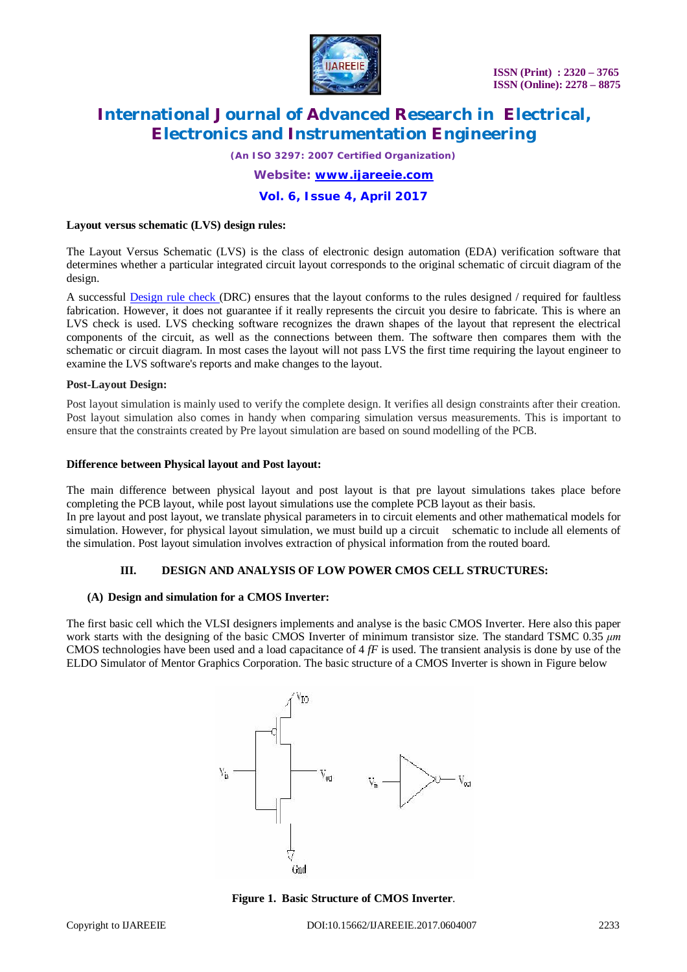

*(An ISO 3297: 2007 Certified Organization)*

*Website: [www.ijareeie.com](http://www.ijareeie.com)*

**Vol. 6, Issue 4, April 2017**

#### **Layout versus schematic (LVS) design rules:**

The Layout Versus Schematic (LVS) is the class of electronic design automation (EDA) verification software that determines whether a particular integrated circuit layout corresponds to the original schematic of circuit diagram of the design.

A successful Design rule check (DRC) ensures that the layout conforms to the rules designed / required for faultless fabrication. However, it does not guarantee if it really represents the circuit you desire to fabricate. This is where an LVS check is used. LVS checking software recognizes the drawn shapes of the layout that represent the electrical components of the circuit, as well as the connections between them. The software then compares them with the schematic or circuit diagram. In most cases the layout will not pass LVS the first time requiring the layout engineer to examine the LVS software's reports and make changes to the layout.

#### **Post-Layout Design:**

Post layout simulation is mainly used to verify the complete design. It verifies all design constraints after their creation. Post layout simulation also comes in handy when comparing simulation versus measurements. This is important to ensure that the constraints created by Pre layout simulation are based on sound modelling of the PCB.

#### **Difference between Physical layout and Post layout:**

The main difference between physical layout and post layout is that pre layout simulations takes place before completing the PCB layout, while post layout simulations use the complete PCB layout as their basis.

In pre layout and post layout, we translate physical parameters in to circuit elements and other mathematical models for simulation. However, for physical layout simulation, we must build up a circuit schematic to include all elements of the simulation. Post layout simulation involves extraction of physical information from the routed board.

#### **III. DESIGN AND ANALYSIS OF LOW POWER CMOS CELL STRUCTURES:**

#### **(A) Design and simulation for a CMOS Inverter:**

The first basic cell which the VLSI designers implements and analyse is the basic CMOS Inverter. Here also this paper work starts with the designing of the basic CMOS Inverter of minimum transistor size. The standard TSMC 0.35 *μm*  CMOS technologies have been used and a load capacitance of 4 *fF* is used. The transient analysis is done by use of the ELDO Simulator of Mentor Graphics Corporation. The basic structure of a CMOS Inverter is shown in Figure below



**Figure 1. Basic Structure of CMOS Inverter**.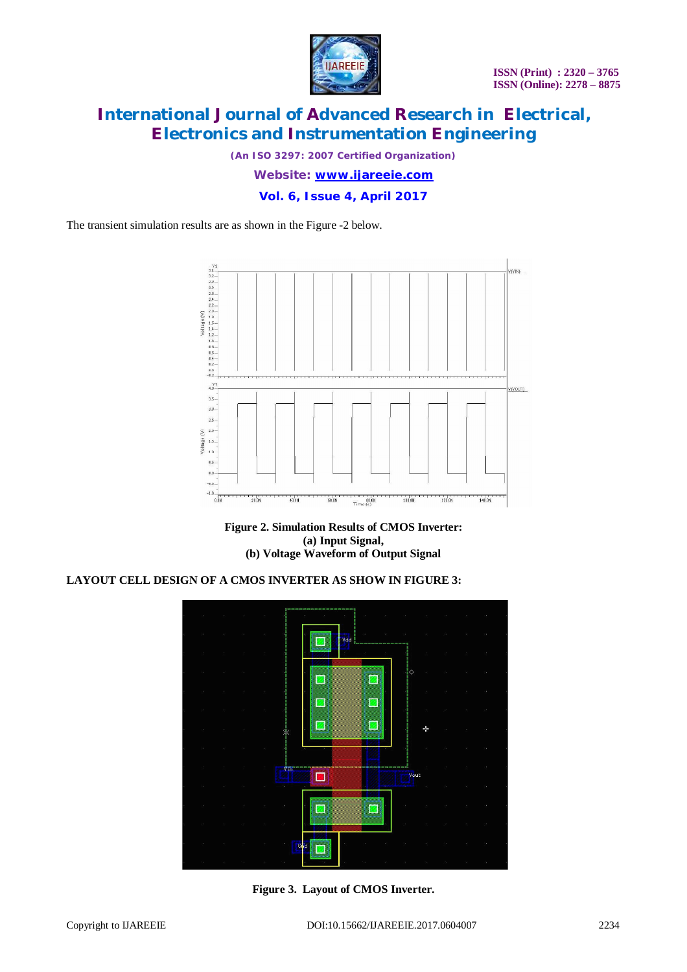

*(An ISO 3297: 2007 Certified Organization)*

*Website: [www.ijareeie.com](http://www.ijareeie.com)*

**Vol. 6, Issue 4, April 2017**

The transient simulation results are as shown in the Figure -2 below.



**Figure 2. Simulation Results of CMOS Inverter: (a) Input Signal, (b) Voltage Waveform of Output Signal**

### **LAYOUT CELL DESIGN OF A CMOS INVERTER AS SHOW IN FIGURE 3:**



**Figure 3. Layout of CMOS Inverter.**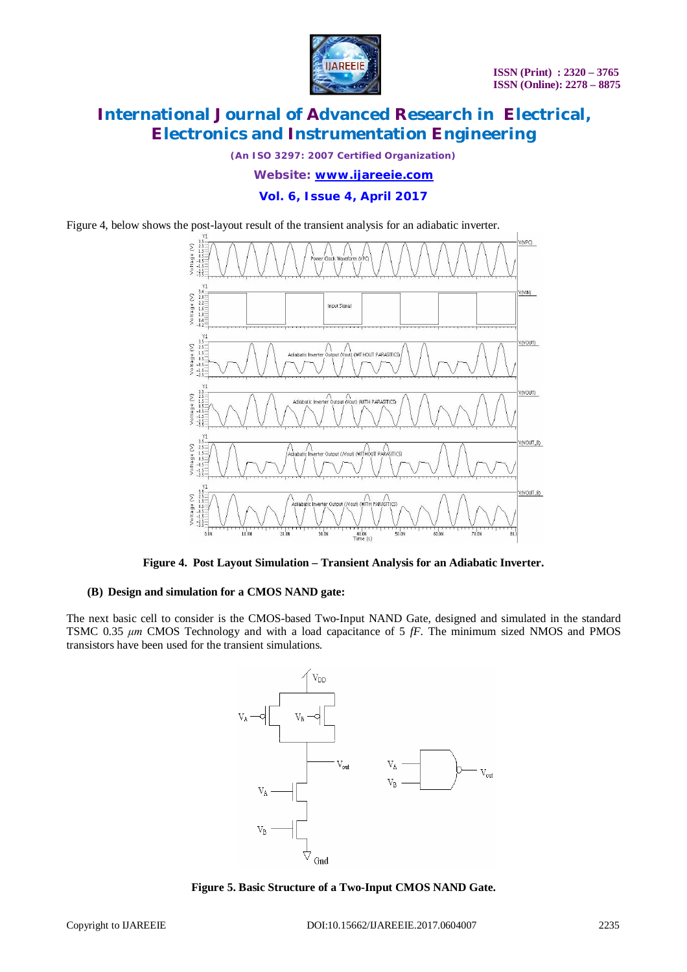

*(An ISO 3297: 2007 Certified Organization)*

*Website: [www.ijareeie.com](http://www.ijareeie.com)*

### **Vol. 6, Issue 4, April 2017**

Figure 4, below shows the post-layout result of the transient analysis for an adiabatic inverter.



**Figure 4. Post Layout Simulation – Transient Analysis for an Adiabatic Inverter.**

#### **(B) Design and simulation for a CMOS NAND gate:**

The next basic cell to consider is the CMOS-based Two-Input NAND Gate, designed and simulated in the standard TSMC 0.35 *μm* CMOS Technology and with a load capacitance of 5 *fF*. The minimum sized NMOS and PMOS transistors have been used for the transient simulations.



**Figure 5. Basic Structure of a Two-Input CMOS NAND Gate.**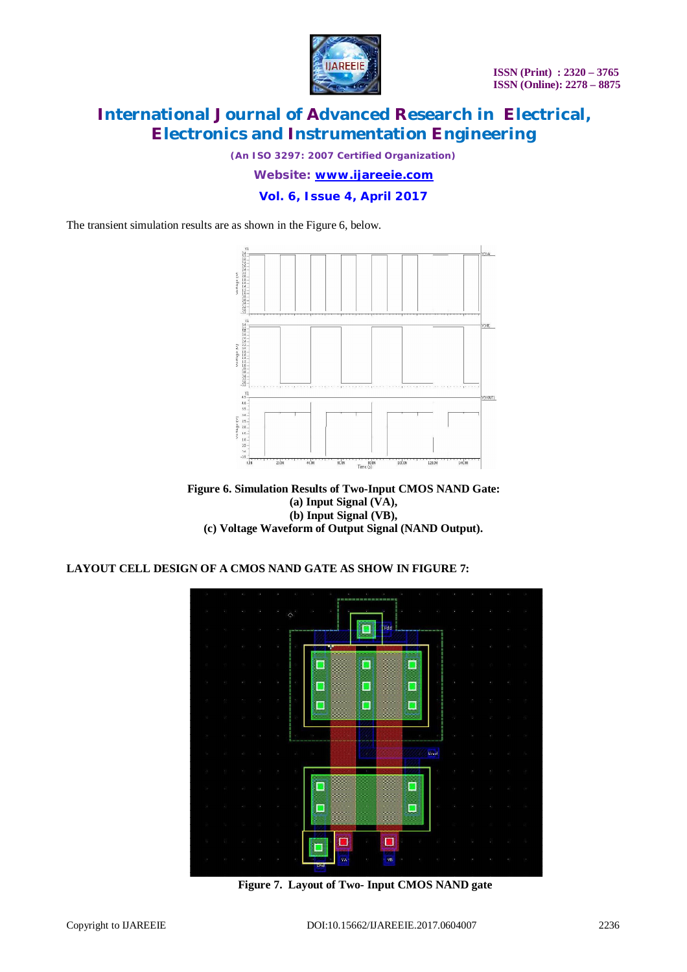

*(An ISO 3297: 2007 Certified Organization)*

*Website: [www.ijareeie.com](http://www.ijareeie.com)*

### **Vol. 6, Issue 4, April 2017**

The transient simulation results are as shown in the Figure 6, below.



**Figure 6. Simulation Results of Two-Input CMOS NAND Gate: (a) Input Signal (VA), (b) Input Signal (VB), (c) Voltage Waveform of Output Signal (NAND Output).**

### **LAYOUT CELL DESIGN OF A CMOS NAND GATE AS SHOW IN FIGURE 7:**



**Figure 7. Layout of Two- Input CMOS NAND gate**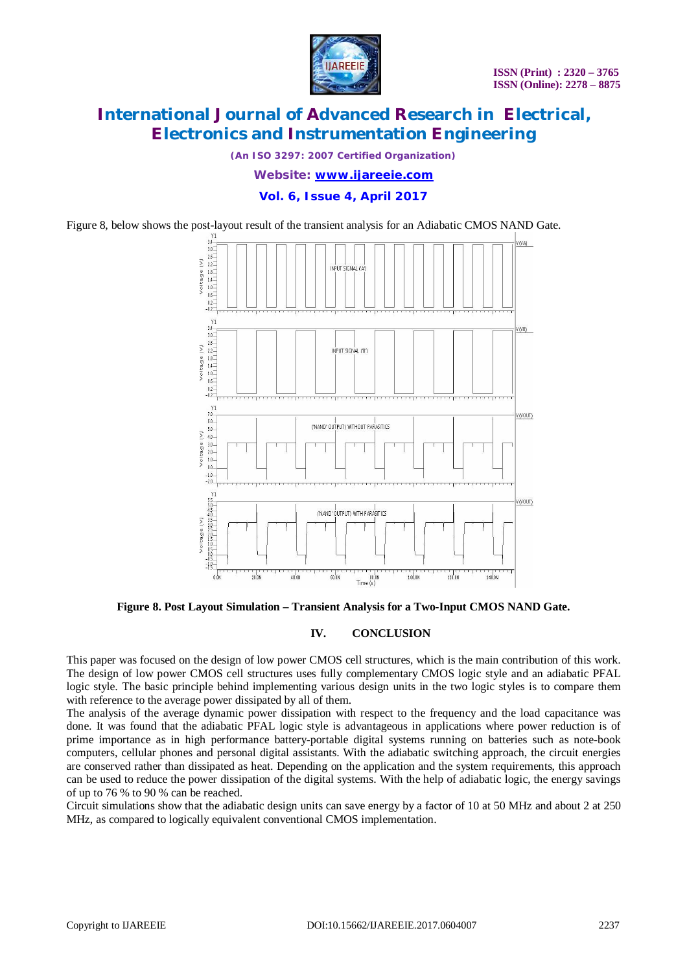

*(An ISO 3297: 2007 Certified Organization)*

*Website: [www.ijareeie.com](http://www.ijareeie.com)*

**Vol. 6, Issue 4, April 2017**

Figure 8, below shows the post-layout result of the transient analysis for an Adiabatic CMOS NAND Gate.



**Figure 8. Post Layout Simulation – Transient Analysis for a Two-Input CMOS NAND Gate.**

#### **IV. CONCLUSION**

This paper was focused on the design of low power CMOS cell structures, which is the main contribution of this work. The design of low power CMOS cell structures uses fully complementary CMOS logic style and an adiabatic PFAL logic style. The basic principle behind implementing various design units in the two logic styles is to compare them with reference to the average power dissipated by all of them.

The analysis of the average dynamic power dissipation with respect to the frequency and the load capacitance was done. It was found that the adiabatic PFAL logic style is advantageous in applications where power reduction is of prime importance as in high performance battery-portable digital systems running on batteries such as note-book computers, cellular phones and personal digital assistants. With the adiabatic switching approach, the circuit energies are conserved rather than dissipated as heat. Depending on the application and the system requirements, this approach can be used to reduce the power dissipation of the digital systems. With the help of adiabatic logic, the energy savings of up to 76 % to 90 % can be reached.

Circuit simulations show that the adiabatic design units can save energy by a factor of 10 at 50 MHz and about 2 at 250 MHz, as compared to logically equivalent conventional CMOS implementation.